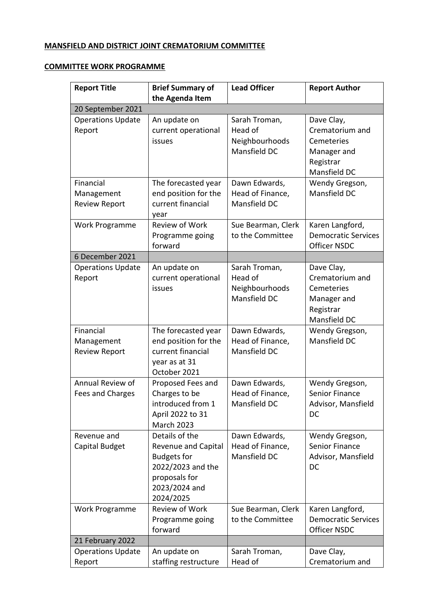## **MANSFIELD AND DISTRICT JOINT CREMATORIUM COMMITTEE**

## **COMMITTEE WORK PROGRAMME**

| <b>Report Title</b>                             | <b>Brief Summary of</b>                                                                                                                | <b>Lead Officer</b>                                        | <b>Report Author</b>                                                                    |
|-------------------------------------------------|----------------------------------------------------------------------------------------------------------------------------------------|------------------------------------------------------------|-----------------------------------------------------------------------------------------|
|                                                 | the Agenda Item                                                                                                                        |                                                            |                                                                                         |
| 20 September 2021                               |                                                                                                                                        |                                                            |                                                                                         |
| <b>Operations Update</b><br>Report              | An update on<br>current operational<br>issues                                                                                          | Sarah Troman,<br>Head of<br>Neighbourhoods<br>Mansfield DC | Dave Clay,<br>Crematorium and<br>Cemeteries<br>Manager and<br>Registrar<br>Mansfield DC |
| Financial<br>Management<br><b>Review Report</b> | The forecasted year<br>end position for the<br>current financial<br>year                                                               | Dawn Edwards,<br>Head of Finance,<br>Mansfield DC          | Wendy Gregson,<br>Mansfield DC                                                          |
| Work Programme                                  | <b>Review of Work</b><br>Programme going<br>forward                                                                                    | Sue Bearman, Clerk<br>to the Committee                     | Karen Langford,<br><b>Democratic Services</b><br><b>Officer NSDC</b>                    |
| 6 December 2021                                 |                                                                                                                                        |                                                            |                                                                                         |
| <b>Operations Update</b><br>Report              | An update on<br>current operational<br>issues                                                                                          | Sarah Troman,<br>Head of<br>Neighbourhoods<br>Mansfield DC | Dave Clay,<br>Crematorium and<br>Cemeteries<br>Manager and<br>Registrar<br>Mansfield DC |
| Financial<br>Management<br><b>Review Report</b> | The forecasted year<br>end position for the<br>current financial<br>year as at 31<br>October 2021                                      | Dawn Edwards,<br>Head of Finance,<br>Mansfield DC          | Wendy Gregson,<br>Mansfield DC                                                          |
| Annual Review of<br>Fees and Charges            | Proposed Fees and<br>Charges to be<br>introduced from 1<br>April 2022 to 31<br>March 2023                                              | Dawn Edwards,<br>Head of Finance,<br>Mansfield DC          | Wendy Gregson,<br>Senior Finance<br>Advisor, Mansfield<br>DC                            |
| Revenue and<br>Capital Budget                   | Details of the<br><b>Revenue and Capital</b><br><b>Budgets for</b><br>2022/2023 and the<br>proposals for<br>2023/2024 and<br>2024/2025 | Dawn Edwards,<br>Head of Finance,<br>Mansfield DC          | Wendy Gregson,<br><b>Senior Finance</b><br>Advisor, Mansfield<br>DC                     |
| Work Programme                                  | Review of Work<br>Programme going<br>forward                                                                                           | Sue Bearman, Clerk<br>to the Committee                     | Karen Langford,<br><b>Democratic Services</b><br><b>Officer NSDC</b>                    |
| 21 February 2022                                |                                                                                                                                        |                                                            |                                                                                         |
| <b>Operations Update</b><br>Report              | An update on<br>staffing restructure                                                                                                   | Sarah Troman,<br>Head of                                   | Dave Clay,<br>Crematorium and                                                           |